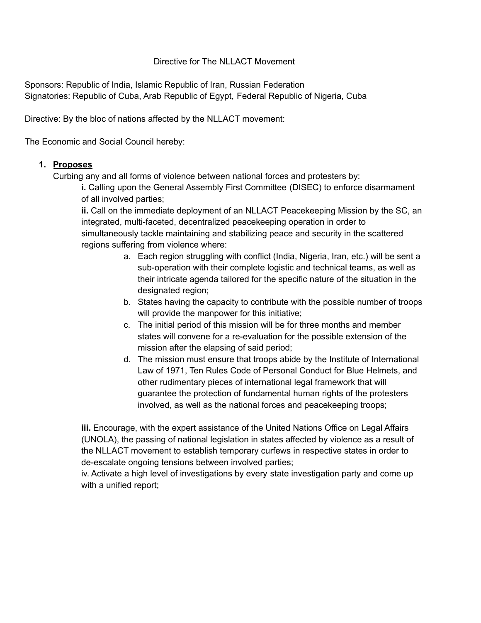## Directive for The NLLACT Movement

Sponsors: Republic of India, Islamic Republic of Iran, Russian Federation Signatories: Republic of Cuba, Arab Republic of Egypt, Federal Republic of Nigeria, Cuba

Directive: By the bloc of nations affected by the NLLACT movement:

The Economic and Social Council hereby:

## **1. Proposes**

Curbing any and all forms of violence between national forces and protesters by:

**i.** Calling upon the General Assembly First Committee (DISEC) to enforce disarmament of all involved parties;

**ii.** Call on the immediate deployment of an NLLACT Peacekeeping Mission by the SC, an integrated, multi-faceted, decentralized peacekeeping operation in order to simultaneously tackle maintaining and stabilizing peace and security in the scattered regions suffering from violence where:

- a. Each region struggling with conflict (India, Nigeria, Iran, etc.) will be sent a sub-operation with their complete logistic and technical teams, as well as their intricate agenda tailored for the specific nature of the situation in the designated region;
- b. States having the capacity to contribute with the possible number of troops will provide the manpower for this initiative;
- c. The initial period of this mission will be for three months and member states will convene for a re-evaluation for the possible extension of the mission after the elapsing of said period;
- d. The mission must ensure that troops abide by the Institute of International Law of 1971, Ten Rules Code of Personal Conduct for Blue Helmets, and other rudimentary pieces of international legal framework that will guarantee the protection of fundamental human rights of the protesters involved, as well as the national forces and peacekeeping troops;

**iii.** Encourage, with the expert assistance of the United Nations Office on Legal Affairs (UNOLA), the passing of national legislation in states affected by violence as a result of the NLLACT movement to establish temporary curfews in respective states in order to de-escalate ongoing tensions between involved parties;

iv. Activate a high level of investigations by every state investigation party and come up with a unified report;